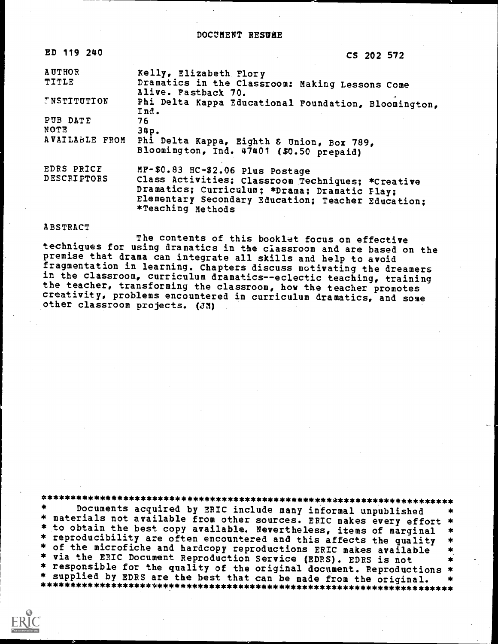## DOCUMENT RESUAE

| ED 119 240         | CS 202 572                                                              |
|--------------------|-------------------------------------------------------------------------|
| <b>AUTHOR</b>      | Kelly, Elizabeth Flory                                                  |
| TITLE              | Dramatics in the Classroom: Making Lessons Come<br>Alive. Fastback 70.  |
| <b>INSTITUTION</b> | Phi Delta Kappa Educational Foundation, Bloomington,<br>Ind.            |
| PUB DATE           | 76                                                                      |
| NOTE               | 34p.                                                                    |
| AVAILABLE FROM     | Phi Delta Kappa, Eighth & Union, Box 789,                               |
|                    | Bloomington, Ind. 47401 (\$0.50 prepaid)                                |
| EDRS PRICE         | MF-\$0.83 HC-\$2.06 Plus Postage                                        |
| DESCRIPTORS        | Class Activities; Classroom Techniques; *Creative                       |
|                    | Dramatics; Curriculum; *Drama; Dramatic Flay;                           |
|                    | Elementary Secondary Education; Teacher Education;<br>*Teaching Methods |

### ABSTRACT

The contents of this booklet focus on effective techniques for using dramatics in the classroom and are based on the premise that drama can integrate all skills and help to avoid fragmentation in learning. Chapters discuss motivating the dreamers in the classroom, curriculum dramatics--eclectic teaching, training the teacher, transforming the classroom, how the teacher promotes creativity, problems encountered in curriculum dramatics, and some other classroom projects. (JA)

\*\*\*\*\*\*\*\*\*\*\*\*\*\*\*\*\*\*\*\*\*\*\*\*\*\*\*\*\*\*\*\*\*\*\*\*\*\*\*\*\*\*\*\*\*\*\*\*\*\*\*\*\*\*\*\*\*\*\*\*\*\*\*\*\*\*\*\*\*\*\* Documents acquired by ERIC include many informal unpublished \* materials not available from other sources. ERIC makes every effort<br>\* to obtain the best copy available. Nevertheless, items of marginal \* reproducibility are often encountered and this affects the quality<br>\* of the microfiche and hardcopy reproductions ERIC makes available<br>\* via the ERIC Document Reproduction Service (EDRS). EDRS is not responsible for the quality of the original document. Reproductions \*<br>supplied by EDRS are the best that can be made from the original. \* \* supplied by EDRS are the best that can be made from the original. \*\*\*\*\*\*\*\*\*\*\*\*\*\*\*\*\*\*\*\*\*\*\*\*\*\*\*\*\*\*\*\*\*\*\*\*\*\*\*\*\*\*\*\*\*\*\*\*\*\*\*\*\*\*\*\*\*\*\*\*\*\*\*\*\*\*\*\*\*\*\*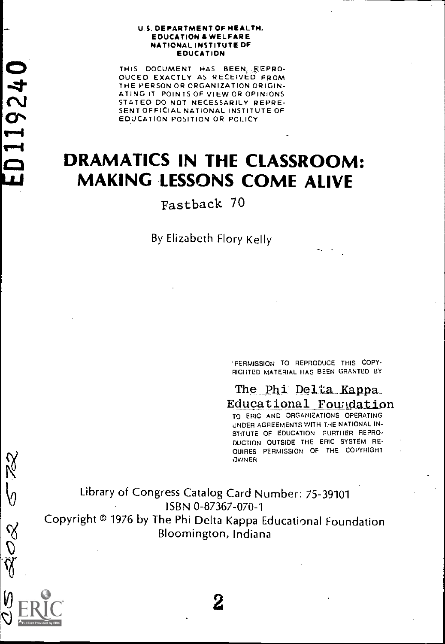#### U.S. DEPARTMENT OF HEALTH. EDUCATION & WELFARE NATIONAL INSTITUTE DF EDUCATION

THIS DOCUMENT HAS BEEN. FEPRO-DUCED EXACTLY AS RECEIVED FROM THE PERSON OR ORGANIZATION ORIGIN-<br>ATING IT POINTS OF VIEW OR OPINIONS STATED DO NOT NECESSARILY REPRE-SENT OFFICIAL NATIONAL INSTITUTE OF<br>EDUCATION POSITION OR POLICY

11924

 $\blacksquare$ 

C

 $\frac{1}{2}$ 

O<br>Q

lJ

## DRAMATICS IN THE CLASSROOM: MAKING LESSONS COME ALIVE

Fastback 70

By Elizabeth Flory Kelly

PERMISSION TO REPRODUCE THIS COPY- RIGHTED MATERIAL HAS BEEN GRANTED BY

The Phi Delta Kappa<br>Educational Foundation

TO ERIC AND ORGANIZATIONS OPERATING JNDER AGREEMENTS WITH THE NATIONAL IN- STITUTE OF EDUCATION FURTHER REPRO-DUCTION OUTSIDE THE ERIC SYSTEM RE- OUIRES PERMISSION OF THE COPYRIGHT OWNER

Library of Congress Catalog Card Number: 75-39101 ISBN 0-87367-070-1 Copyright © 1976 by The Phi Delta Kappa Educational Foundation Bloomington, Indiana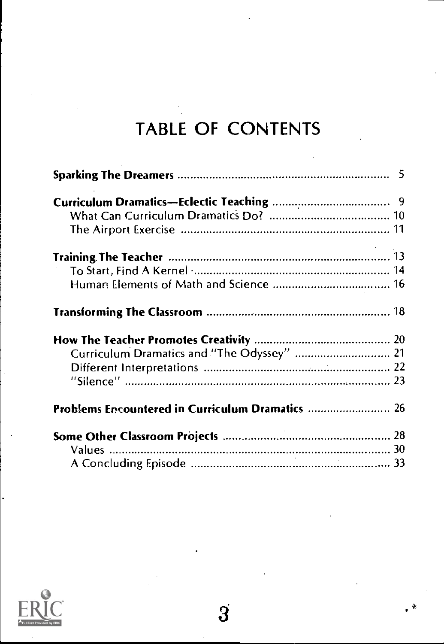# TABLE OF CONTENTS

| Curriculum Dramatics and "The Odyssey"  21 |  |
|--------------------------------------------|--|
|                                            |  |
|                                            |  |
|                                            |  |
|                                            |  |
|                                            |  |
|                                            |  |

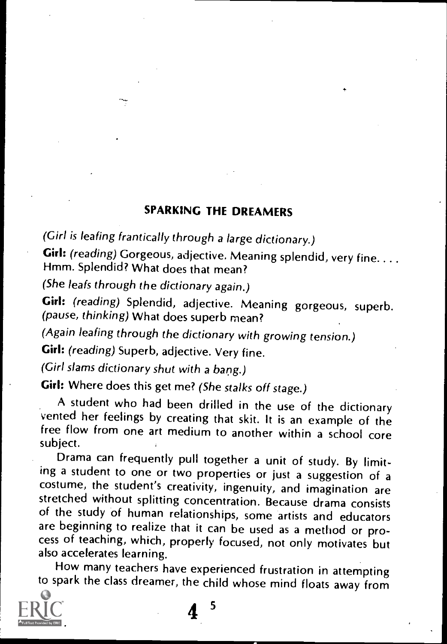## SPARKING THE DREAMERS

(Girl is leafing frantically through a large dictionary.)

Girl: (reading) Gorgeous, adjective. Meaning splendid, very fine....<br>Hmm. Splendid? What does that mean?

(She leafs through the dictionary again.)

Girl: (reading) Splendid, adjective. Meaning gorgeous, superb. (pause, thinking) What does superb mean?

(Again leafing through the dictionary with growing tension.)

Girl: (reading) Superb, adjective. Very fine.

(Girl slams dictionary shut with a bang.)

Girl: Where does this get me? (She stalks off stage.)

A student who had been drilled in the use of the dictionary vented her feelings by creating that skit. It is an example of the free flow from one art medium to another within a school core subject.

Drama can frequently pull together a unit of study. By limiting a student to one or two properties or just a suggestion of a costume, the student's creativity, ingenuity, and imagination are of the study of human relationships, some artists and educators are beginning to realize that it can be used as a method or process of teaching, which, properly focused, not only motivates but also accelerates learning.

How many teachers have experienced frustration in attempting to spark the class dreamer, the child whose mind floats away from



 $4<sup>5</sup>$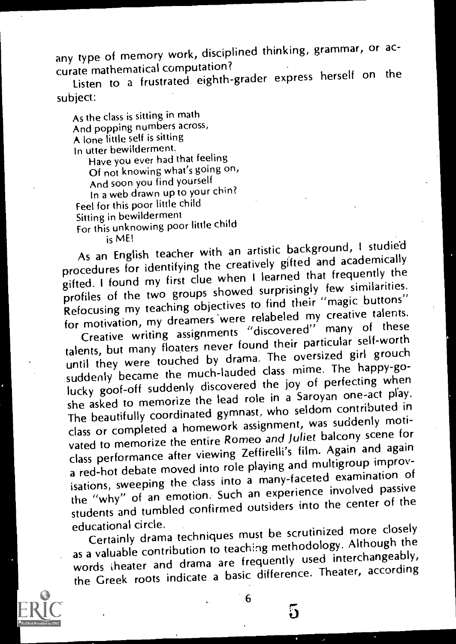any type of memory work, disciplined thinking, grammar, or ac-<br>curate mathematical computation?

curate mathematical computation? Listen to a frustrated eighth-grader express herself on the subject:

As the class is sitting in math And popping numbers across, A lone little self is sitting In utter bewilderment, Have you ever had that feeling

Of not knowing what's going on, And soon you find yourself In a web drawn up to your chin? Feel for this poor little child Sitting in bewilderment For this unknowing poor little child<br>is ME!

is ME! As an English teacher with an artistic background, 1 studied procedures for identifying the creatively gifted and academically gifted. I found my first clue when I learned that frequently the profiles of the two groups showed surprisingly few similarities. Refocusing my teaching objectives to find their "magic buttons" for motivation, my dreamers were relabeled my creative talents. Creative writing assignments "discovered" many of these

talents, but many floaters never found their particular self-worth until they were touched by drama. The oversized girl grouch suddenly became the much-lauded class mime. The happy-golucky goof-off suddenly discovered the joy of perfecting when she asked to memorize the lead role in a Saroyan one-act play. The beautifully coordinated gymnast. who seldom contributed in class or completed a homework assignment, was suddenly motivated to memorize the entire Romeo and Juliet balcony scene for class performance after viewing Zeffirelli's film. Again and again a red-hot debate moved into role playing and multigroup improvisations, sweeping the class into a many-faceted examination of the "why" of an emotion. Such an experience involved passive students and tumbled confirmed outsiders into the center of the<br>educational circle.

educational circle. Certainly drama techniques must be scrutinized more closely as a valuable contribution to teaching methodology. Although the words theater and drama are frequently used interchangeably, the Greek roots indicate a basic difference. Theater, according



6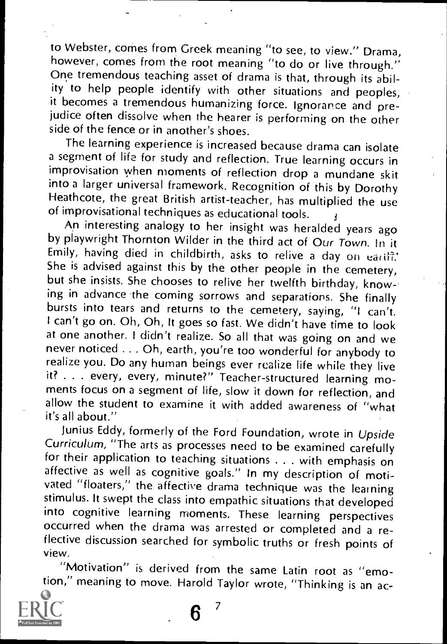to Webster, comes from Greek meaning "to see, to view." Drama, however, comes from the root meaning "to do or live through." One tremendous teaching asset of drama is that, through its ability to help people identify with other situations and peoples, it becomes a tremendous humanizing force. Ignorance and preiudice often dissolve when the hearer is performing on the other side of the fence or in another's shoes.

The learning experience is increased because drama can isolate a segment of life for study and reflection. True learning occurs in improvisation when moments of reflection drop a mundane skit into a larger universal framework. Recognition of this by Dorothy Heathcote, the great British artist-teacher, has multiplied the use of improvisational techniques as educational tools.<br>An interesting analogy to her insight was heralded years ago

by playwright Thornton Wilder in the third act of Our Town. In it<br>Emily, having died in childbirth, asks to relive a day on earifi. She is advised against this by the other people in the cemetery, but she insists. She chooses to relive her twelfth birthday, know-ing in advance the coming sorrows and separations. She finally bursts into tears and returns to the cemetery, saying, "I can't. I can't go on. Oh, Oh, It goes so fast. We didn't have time to look at one another. I didn't realize. So all that was going on and we never noticed .. . Oh, earth, you're too wonderful for anybody to realize you. Do any human beings ever realize life while they live it? . . . every, every, minute?" Teacher-structured learning moments focus on a segment of life, slow it down for reflection, and allow the student to examine it with added awareness of "what it's all about."<br>Junius Eddy, formerly of the Ford Foundation, wrote in Upside

Curriculum, "The arts as processes need to be examined carefully<br>for their application to teaching situations . . . with emphasis on affective as well as cognitive goals." In my description of moti-<br>vated "floaters," the affective drama technique was the learning stimulus. It swept the class into empathic situations that developed<br>into cognitive learning moments. These learning perspectives occurred when the drama was arrested or completed and a reflective discussion searched for symbolic truths or fresh points of view.

"Motivation" is derived from the same Latin root as "emotion," meaning to move. Harold Taylor wrote, "Thinking is an ac-

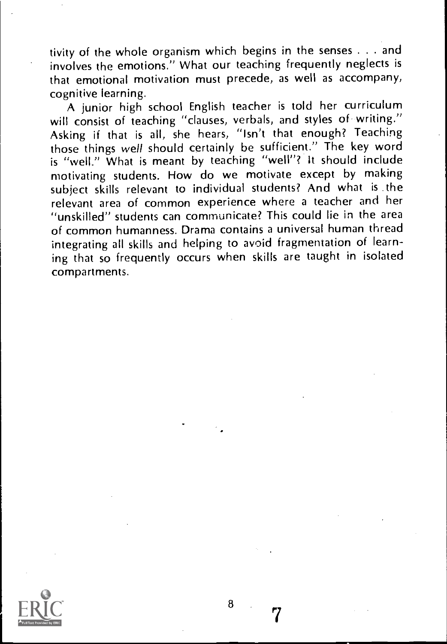tivity of the whole organism which begins in the senses . . . and involves the emotions." What our teaching frequently neglects is that emotional motivation must precede, as well as accompany, cognitive learning.

A junior high school English teacher is told her curriculum will consist of teaching "clauses, verbals, and styles of writing." Asking if that is all, she hears, "Isn't that enough? Teaching those things well should certainly be sufficient." The key word is "well." What is meant by teaching "well"? It should include motivating students. How do we motivate except by making subject skills relevant to individual students? And what is the relevant area of common experience where a teacher and her "unskilled" students can communicate? This could lie in the area of common humanness. Drama contains a universal human thread integrating all skills and helping to avoid fragmentation of learning that so frequently occurs when skills are taught in isolated compartments.

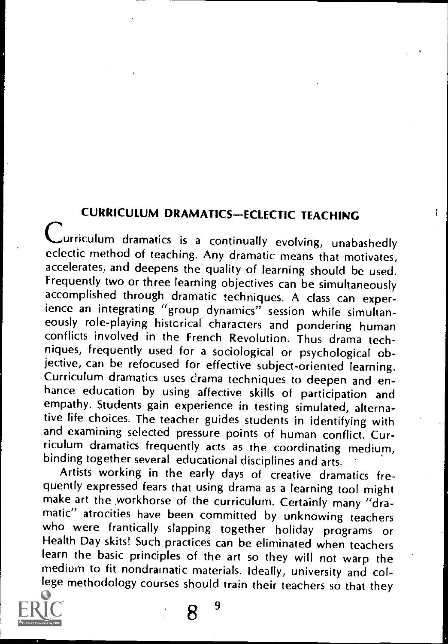**CURRICULUM DRAMATICS-ECLECTIC TEACHING** Lurriculum dramatics is a continually evolving, unabashedly eclectic method of teaching. Any dramatic means that motivates, accelerates, and deepens the quality of learning should be used. Frequently two or three learning objectives can be simultaneously accomplished through dramatic techniques. A class can experience an integrating "group dynamics" session while simultaneously role-playing histcrical characters and pondering human conflicts involved in the French Revolution. Thus drama techniques, frequently used for a sociological or psychological ob-<br>jective, can be refocused for effective subject-oriented learning. Curriculum dramatics uses drama techniques to deepen and en-<br>hance education by using affective skills of participation and empathy. Students gain experience in testing simulated, alternative life choices. The teacher guides students in identifying with and examining selected pressure points of human conflict. Curriculum dramatics frequently acts as the coordinating medium, binding together several educational disciplines and arts.

Artists working in the early days of creative dramatics fremake art the workhorse of the curriculum. Certainly many "dra-<br>matic" atrocities have been committed by unknowing teachers<br>who were frantically slapping together holiday programs or Health Day skits! Such practices can be eliminated when teachers<br>learn the basic principles of the art so they will not warp the medium to fit nondrainatic materials. Ideally, university and college methodology courses should train their teachers so that they

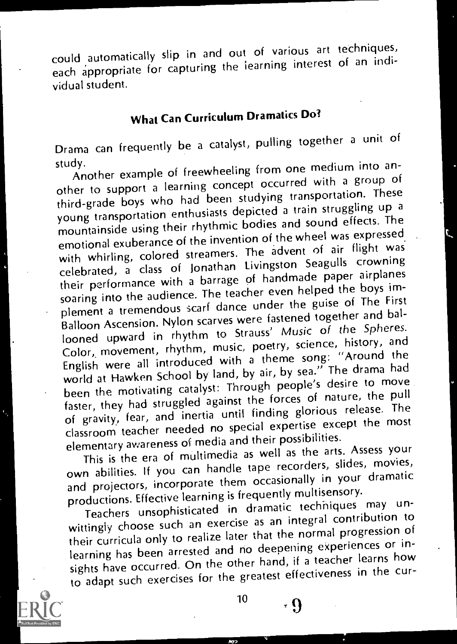could .automatically slip in and out of various art techniques, each appropriate for capturing the learning interest of an individual student.

## What Can Curriculum Dramatics Do?

Drama can frequently be a catalyst, pulling together a unit of study.

study. Another example of freewheeling from one medium into another to support a learning concept occurred with a group of third-grade boys who had been studying transportation. These young transportation enthusiasts depicted a train struggling up a mountainside using their rhythmic bodies and sound effects. The emotional exuberance of the invention of the wheel was expressed with whirling, colored streamers. The advent of air flight was celebrated, a class of Jonathan Livingston Seagulls crowning their performance with a barrage of handmade paper airplanes soaring into the audience. The teacher even helped the boys implement a tremendous scarf dance under the guise of The First Balloon Ascension. Nylon scarves were fastened together and ballooned upward in rhythm to Strauss' Music of the Spheres. Color, movement, rhythm, music, poetry, science, history, and English were all introduced with a theme song: "Around the world at Hawken School by land, by air, by sea." The drama had been the motivating catalyst: Through people's desire to move faster, they had struggled against the forces of nature, the pull of gravity, fear, and inertia until finding glorious release. The classroom teacher needed no special expertise except the most elementary awareness of media and their possibilities.

This is the era of multimedia as well as the arts. Assess your own abilities. If you can handle tape recorders, slides, movies, and projectors, incorporate them occasionally in your dramatic productions. Effective learning is frequently multisensory.

Teachers unsophisticated in dramatic techniques may unwittingly choose such an exercise as an integral contribution to their curricula only to realize later that the normal progression of learning has been arrested and no deepening experiences or insights have occurred. On the other hand, if a teacher learns how to adapt such exercises for the greatest effectiveness in the cur-

 $10 \rightarrow \Omega$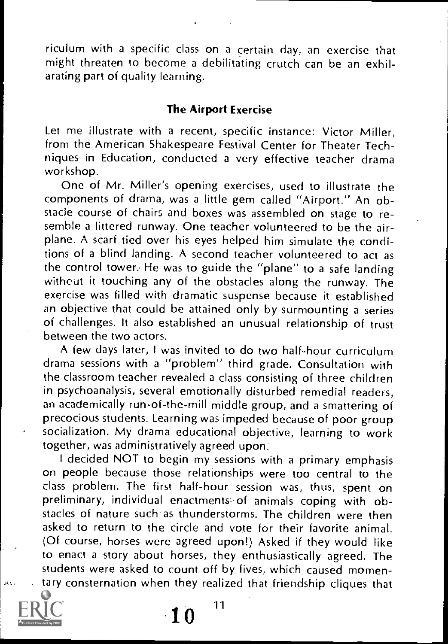riculum with a specific class on a certain day, an exercise that might threaten to become a debilitating crutch can be an exhilarating part of quality learning.

#### The Airport Exercise

Let me illustrate with a recent, specific instance: Victor Miller, from the American Shakespeare Festival Center for Theater Techniques in Education, conducted a very effective teacher drama workshop.

One of Mr. Miller's opening exercises, used to illustrate the components of drama, was a little gem called "Airport." An obstacle course of chairs and boxes was assembled on stage to resemble a littered runway. One teacher volunteered to be the airplane. A scarf tied over his eyes helped him simulate the conditions of a blind landing. A second teacher volunteered to act as the control tower: He was to guide the "plane" to a safe landing without it touching any of the obstacles along the runway. The exercise was filled with dramatic suspense because it established an objective that could be attained only by surmounting a series of challenges. It also established an unusual relationship of trust between the two actors.

A few days later, I was invited to do two half-hour curriculum drama sessions with a "problem" third grade. Consultation with the classroom teacher revealed a class consisting of three children in psychoanalysis, several emotionally disturbed remedial readers, an academically run-of-the-mill middle group, and a smattering of precocious students. Learning was impeded because of poor group socialization. My drama educational objective, learning to work together, was administratively agreed upon.

I decided NOT to begin my sessions with a primary emphasis on people because those relationships were too central to the class problem. The first half-hour session was, thus, spent on preliminary, individual enactments of animals coping with obstacles of nature such as thunderstorms. The children were then asked to return to the circle and vote for their favorite animal. (Of course, horses were agreed upon!) Asked if they would like to enact a story about horses, they enthusiastically agreed. The students were asked to count off by fives, which caused momentary consternation when they realized that friendship cliques that



JI,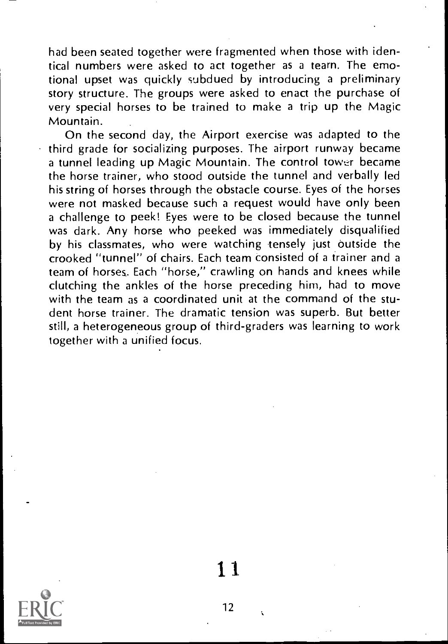had been seated together were fragmented when those with identical numbers were asked to act together as a tearn. The emotional upset was quickly subdued by introducing a preliminary story structure. The groups were asked to enact the purchase of very special horses to be trained to make a trip up the Magic Mountain.

On the second day, the Airport exercise was adapted to the third grade for socializing purposes. The airport runway became a tunnel leading up Magic Mountain. The control tower became the horse trainer, who stood outside the tunnel and verbally led his string of horses through the obstacle course. Eyes of the horses were not masked because such a request would have only been a challenge to peek! Eyes were to be closed because the tunnel was dark. Any horse who peeked was immediately disqualified by his classmates, who were watching tensely just outside the crooked "tunnel" of chairs. Each team consisted of a trainer and a team of horses: Each "horse," crawling on hands and knees while clutching the ankles of the horse preceding him, had to move with the team as a coordinated unit at the command of the student horse trainer. The dramatic tension was superb. But better still, a heterogeneous group of third-graders was learning to work together with a unified focus.



11.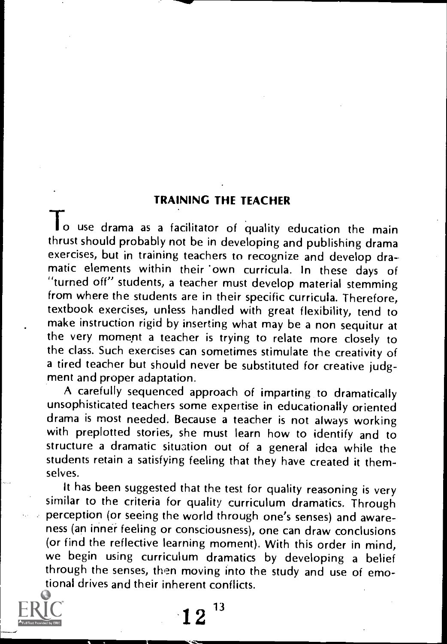## TRAINING THE TEACHER

To use drama as a facilitator of quality education the main thrust should probably not be in developing and publishing drama exercises, but in training teachers to recognize and develop dramatic elements within their 'own curricula. In these days of "turned off" students, a teacher must develop material stemming from where the students are in their specific curricula. Therefore, textbook exercises, unless handled with great flexibility, tend to make instruction rigid by inserting what may be a non sequitur at the very moment a teacher is trying to relate more closely to the class. Such exercises can sometimes stimulate the creativity of a tired teacher but should never be substituted for creative judgment and proper adaptation.

A carefully sequenced approach of imparting to dramatically unsophisticated teachers some expertise in educationally oriented drama is most needed. Because a teacher is not always working with preplotted stories, she must learn how to identify and to structure a dramatic situation out of a general idea while the students retain a satisfying feeling that they have created it themselves.

It has been suggested that the test for quality reasoning is very similar to the criteria for quality curriculum dramatics. Through perception (or seeing the world through one's senses) and awareness (an inner feeling or consciousness), one can draw conclusions (or find the reflective learning moment). With this order in mind, we begin using curriculum dramatics by developing a belief through the senses, then moving into the study and use of emotional drives and their inherent conflicts.

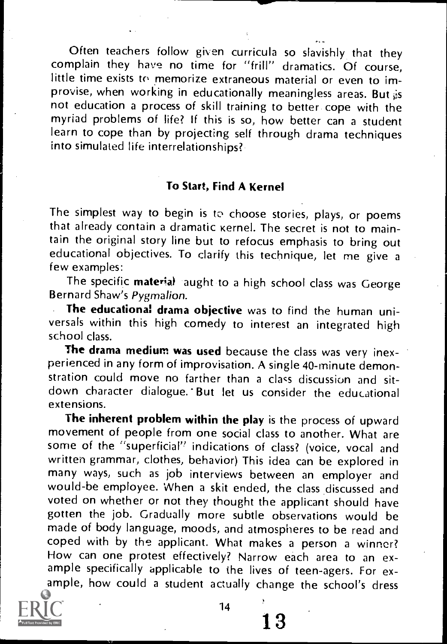Often teachers follow given curricula so slavishly that they complain they have no time for "frill" dramatics. Of course, little time exists to memorize extraneous material or even to improvise, when working in educationally meaningless areas. But  $\dot{\mathfrak{s}}$ s not education a process of skill training to better cope with the myriad problems of life? If this is so, how better can a student learn to cope than by projecting self through drama techniques into simulated life interrelationships?

### To Start, Find A Kernel

The simplest way to begin is to choose stories, plays, or poems that already contain a dramatic kernel. The secret is not to maintain the original story line but to refocus emphasis to bring out educational objectives. To clarify this technique, let me give a few examples:

The specific material aught to a high school class was George Bernard Shaw's Pygmalion.<br>**The educational drama objective** was to find the human uni-

versals within this high comedy to interest an integrated high school class.

The drama medium was used because the class was very inexperienced in any form of improvisation. A single 40-minute demonstration could move no farther than a class discussion and sitdown character dialogue.' But let us consider the educational extensions.

The inherent problem within the play is the process of upward movement of people from one social class to another. What are some of the "superficial" indications of class? (voice, vocal and written grammar, clothes, behavior) This idea can be explored in many ways, such as job interviews between an employer and would-be employee. When a skit ended, the class discussed and voted on whether or not they thought the applicant should have gotten the job. Gradually more subtle observations would be made of body language, moods, and atmospheres to be read and coped with by the applicant. What makes a person a winner? How can one protest effectively? Narrow each area to an example specifically applicable to the lives of teen-agers. For example, how could a student actually change the school's dress



14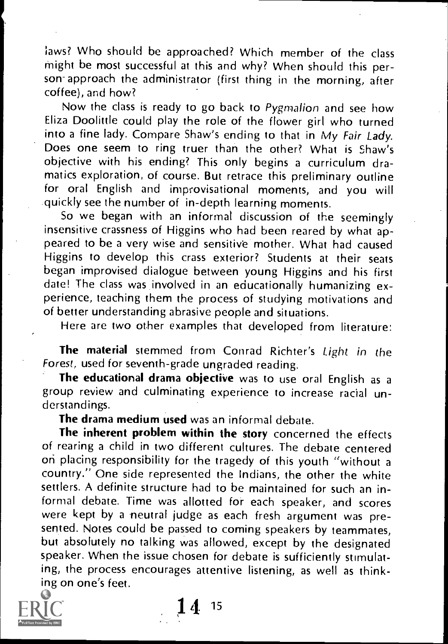laws? Who should be approached? Which member of the class might be most successful at this and why? When should this person approach the administrator (first thing in the morning, after coffee), and how?

Now the class is ready to go back to Pygmalion and see how Eliza Doolittle could play the role of the flower girl who turned into a fine lady. Compare Shaw's ending to that in My Fair Lady. Does one seem to ring truer than the other? What is Shaw's objective with his ending? This only begins a curriculum dramatics exploration, of course. But retrace this preliminary outline for oral English and improvisational moments, and you will quickly see the number of in-depth learning moments.

So we began with an informal discussion of the seemingly insensitive crassness of Higgins who had been reared by what appeared to be a very wise and sensitive mother. What had caused Higgins to develop this crass exterior? Students at their seats began improvised dialogue between young Higgins and his first date! The class was involved in an educationally humanizing experience, teaching them the process of studying motivations and of better understanding abrasive people and situations.

Here are two other examples that developed from literature:

The material stemmed from Conrad Richter's Light in the Forest, used for seventh-grade ungraded reading.

The educational drama objective was to use oral English as a group review and culminating experience to increase racial understandings.

The drama medium used was an informal debate.

The inherent problem within the story concerned the effects of rearing a child in two different cultures. The debate centered on placing responsibility for the tragedy of this youth "without <sup>a</sup> country." One side represented the Indians, the other the white settlers. A definite structure had to be maintained for such an informal debate. Time was allotted for each speaker, and scores were kept by a neutral judge as each fresh argument was presented. Notes could be passed to coming speakers by teammates, but absolutely no talking was allowed, except by the designated speaker. When the issue chosen for debate is sufficiently stimulating, the process encourages attentive listening, as well as thinking on one's feet.



1 4 <sup>15</sup>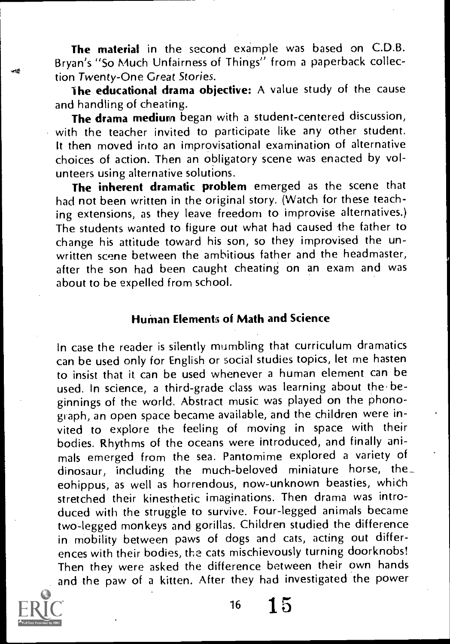The material in the second example was based on C.D.B. Bryan's "So Much Unfairness of Things" from a paperback collec tion Twenty-One Great Stories.

the educational drama objective: A value study of the cause and handling of cheating.

The drama medium began with a student-centered discussion, with the teacher invited to participate like any other student. It then moved into an improvisational examination of alternative choices of action. Then an obligatory scene was enacted by volunteers using alternative solutions.

The inherent dramatic problem emerged as the scene that had not been written in the original story. (Watch for these teaching extensions, as they leave freedom to improvise alternatives.) The students wanted to figure out what had caused the father to change his attitude toward his son, so they improvised the unwritten scene between the ambitious father and the headmaster, after the son had been caught cheating on an exam and was about to be expelled from school.

### Human Elements of Math and Science

In case the reader is silently mumbling that curriculum dramatics can be used only for English or social studies topics, let me hasten to insist that it can be used whenever a human element can be used. In science, a third-grade class was learning about the beginnings of the world. Abstract music was played on the phonograph, an open space became available, and the children were invited to explore the feeling of moving in space with their bodies. Rhythms of the oceans were introduced, and finally animals emerged from the sea. Pantomime explored a variety of dinosaur, including the much-beloved miniature horse, the eohippus, as well as horrendous, now-unknown beasties, which stretched their kinesthetic imaginations. Then drama was introduced with the struggle to survive. Four-legged animals became two-legged monkeys and gorillas. Children studied the difference in mobility between paws of dogs and cats, acting out differences with their bodies, the cats mischievously turning doorknobs! Then they were asked the difference between their own hands and the paw of a kitten. After they had investigated the power



 $16 \quad 1.5$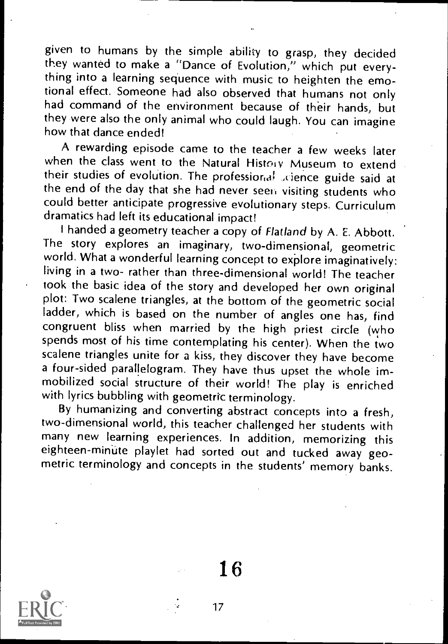given to humans by the simple ability to grasp, they decided they wanted to make a "Dance of Evolution," which put everything into a learning sequence with music to heighten the emo-<br>tional effect. Someone had also observed that humans not only had command of the environment because of their hands, but they were also the only animal who could laugh. You can imagine how that dance ended!

A rewarding episode came to the teacher a few weeks later when the class went to the Natural History Museum to extend their studies of evolution. The professional science guide said at the end of the day that she had never seen visiting students who could better anticipate progressive evolutionary steps. Curriculum dramatics had left its educational impact!

I handed a geometry teacher a copy of Flatland by A. E. Abbott.<br>The story explores an imaginary, two-dimensional, geometric world. What a wonderful learning concept to explore imaginatively: living in a two- rather than three-dimensional world! The teacher took the basic idea of the story and developed her own original plot: Two scalene triangles, at the bottom of the geometric social ladder, which is based on the number of angles one has, find congruent bliss when married by the high priest circle (who spends most of his time contemplating his center). When the two scalene triangles unite for a kiss, they discover they have become a four-sided parallelogram. They have thus upset the whole immobilized social structure of their world! The play is enriched with lyrics bubbling with geometric terminology.

By humanizing and converting abstract concepts into a fresh, two-dimensional world, this teacher challenged her students with many new learning experiences. In addition, memorizing this eighteen-minute playlet had sorted out and tucked away geometric terminology and concepts in the students' memory banks.

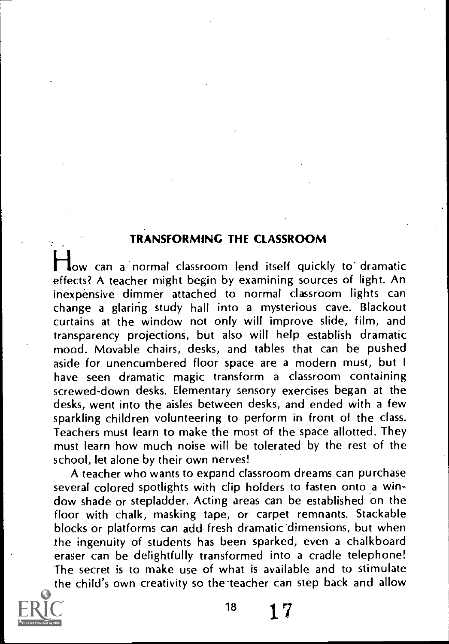### TRANSFORMING THE CLASSROOM

low can a normal classroom lend itself quickly to dramatic effects? A teacher might begin by examining sources of light. An inexpensive dimmer attached to normal classroom lights can change a glaring study hall into a mysterious cave. Blackout curtains at the window not only will improve slide, film, and transparency projections, but also will help establish dramatic mood. Movable chairs, desks, and tables that can be pushed aside for unencumbered floor space are a modern must, but <sup>I</sup> have seen dramatic magic transform <sup>a</sup> classroom containing screwed-down desks. Elementary sensory exercises began at the desks, went into the aisles between desks, and ended with a few sparkling children volunteering to perform in front of the class. Teachers must learn to make the most of the space allotted. They must learn how much noise will be tolerated by the rest of the school, let alone by their own nerves!

A teacher who wants to expand classroom dreams can purchase several colored spotlights with clip holders to fasten onto a window shade or stepladder. Acting areas can be established on the floor with chalk, masking tape, or carpet remnants. Stackable blocks or platforms can add fresh dramatic dimensions, but when the ingenuity of students has been sparked, even a chalkboard eraser can be delightfully transformed into a cradle telephone! The secret is to make use of what is available and to stimulate the child's own creativity so the teacher can step back and allow



<sup>18</sup> 17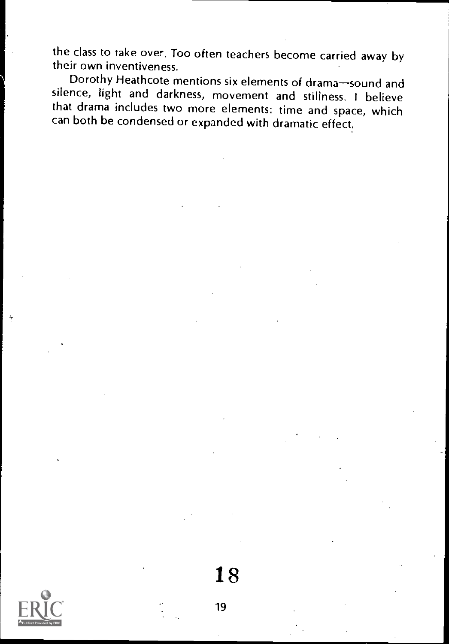the class to take over, Too often teachers become carried away by their own inventiveness.

Dorothy Heathcote mentions six elements of drama-sound and silence, light and darkness, movement and stillness. I believe that drama includes two more elements: time and space, which can both be condensed or expanded with dramatic effect.

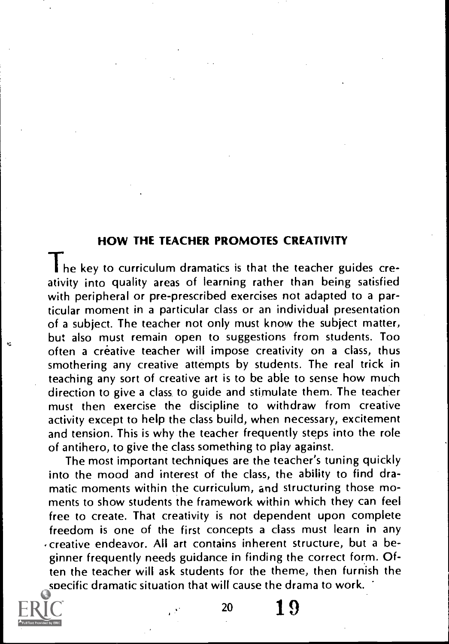#### HOW THE TEACHER PROMOTES CREATIVITY

The key to curriculum dramatics is that the teacher guides creativity into quality areas of learning rather than being satisfied with peripheral or pre-prescribed exercises not adapted to a particular moment in a particular class or an individual presentation of a subject. The teacher not only must know the subject matter, but also must remain open to suggestions from students. Too often a creative teacher will impose creativity on a class, thus smothering any creative attempts by students. The real trick in teaching any sort of creative art is to be able to sense how much direction to give a class to guide and stimulate them. The teacher must then exercise the discipline to withdraw from creative activity except to help the class build, when necessary, excitement and tension. This is why the teacher frequently steps into the role of antihero, to give the class something to play against.

The most important techniques are the teacher's tuning quickly into the mood and interest of the class, the ability to find dramatic moments within the curriculum, and structuring those moments to show students the framework within which they can feel free to create. That creativity is not dependent upon complete freedom is one of the first concepts a class must learn in any creative endeavor. All art contains inherent structure, but a beginner frequently needs guidance in finding the correct form. Often the teacher will ask students for the theme, then furnish the specific dramatic situation that will cause the drama to work.



<sup>20</sup> 1 9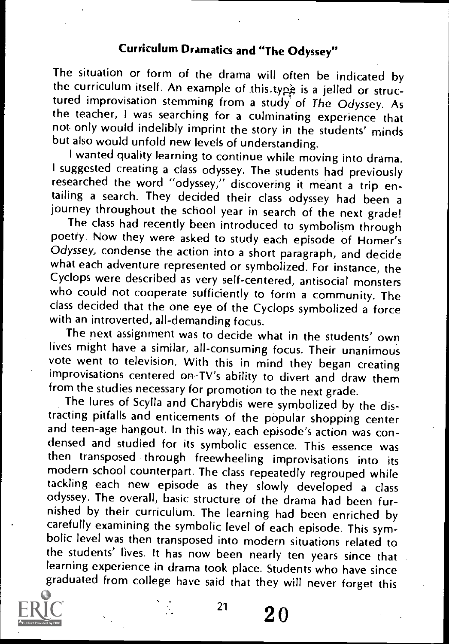## Curriculum Dramatics and "The Odyssey"

The situation or form of the drama will often be indicated by the curriculum itself. An example of this.type is a jelled or structured improvisation stemming from a study of The Odyssey. As the teacher, <sup>I</sup> was searching for a culminating experience that not only would indelibly imprint the story in the students' minds but also would unfold new levels of understanding.

I wanted quality learning to continue while moving into drama. I suggested creating a class odyssey. The students had previously researched the word "odyssey," discovering it meant a trip entailing a search. They decided their class odyssey had been a<br>journey throughout the school year in search of the next grade!

The class had recently been introduced to symbolism through poetry. Now they were asked to study each episode of Homer's Odyssey, condense the action into a short paragraph, and decide what each adventure represented or symbolized. For instance, the Cyclops were described as very self-centered, antisocial monsters who could not cooperate sufficiently to form a community. The class decided that the one eye of the Cyclops symbolized a force with an introverted, all-demanding focus.

The next assignment was to decide what in the students' own lives might have a similar, all-consuming focus. Their unanimous vote went to television. With this in mind they began creating improvisations centered on-TV's ability to divert and draw them<br>from the studies necessary for promotion to the next grade.

The lures of Scylla and Charybdis were symbolized by the distracting pitfalls and enticements of the popular shopping center and teen-age hangout. In this way, each episode's action was condensed and studied for its symbolic essence. This essence was then transposed through freewheeling improvisations into its modern school counterpart. The class repeatedly regrouped while tackling each new episode as they slowly developed <sup>a</sup> class odyssey. The overall, basic structure of the drama had been furnished by their curriculum. The learning had been enriched by carefully examining the symbolic level of each episode. This symbolic level was then transposed into modern situations related to the students' lives. It has now been nearly ten years since that learning experience in drama took place. Students who have since graduated from college have said that they will never forget this



 $^{21}$  20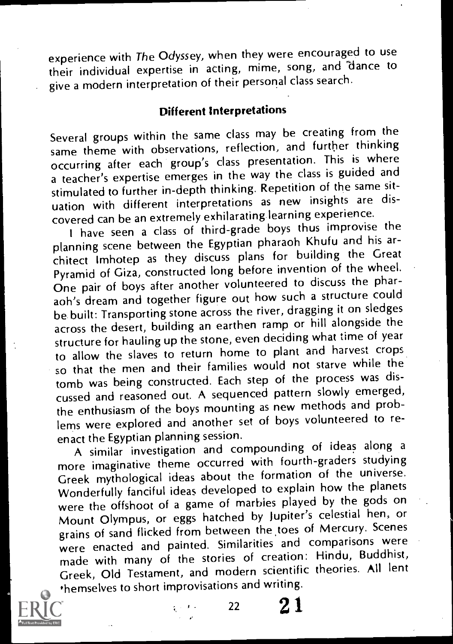experience with The Odyssey, when they were encouraged to use their individual expertise in acting, mime, song, and 'dance to give a modern interpretation of their personal class search.

## Different Interpretations

Several groups within the same class may be creating from the same theme with observations, reflection, and further thinking occurring after each group's class presentation. This is where a teacher's expertise emerges in the way the class is guided and stimulated to further in-depth thinking. Repetition of the same situation with different interpretations as new insights are discovered can be an extremely exhilarating learning experience.

<sup>i</sup> have seen a class of third-grade boys thus improvise the planning scene between the Egyptian pharaoh Khufu and his architect lmhotep as they discuss plans for building the Great Pyramid of Giza, constructed long before invention of the wheel. One pair of boys after another volunteered to discuss the pharaoh's dream and together figure out how such a structure could be built: Transporting stone across the river, dragging it on sledges across the desert, building an earthen ramp or hill alongside the structure for hauling up the stone, even deciding what time of year to allow the slaves to return home to plant and harvest crops so that the men and their families would not starve while the tomb was being constructed. Each step of the process was discussed and reasoned out. A sequenced pattern slowly emerged, the enthusiasm of the boys mounting as new methods and problems were explored and another set of boys volunteered to reenact the Egyptian planning session.

A similar investigation and compounding of ideas along a more imaginative theme occurred with fourth-graders studying Greek mythological ideas about the formation of the universe. Wonderfully fanciful ideas developed to explain how the planets were the offshoot of a game of marbies played by the gods on Mount Olympus, or eggs hatched by Jupiter's celestial hen, or grains of sand flicked from between the toes of Mercury. Scenes were enacted and painted. Similarities and comparisons were made with many of the stories of creation: Hindu, Buddhist, Greek, Old Testament, and modern scientific theories. All lent themselves to short improvisations and writing.

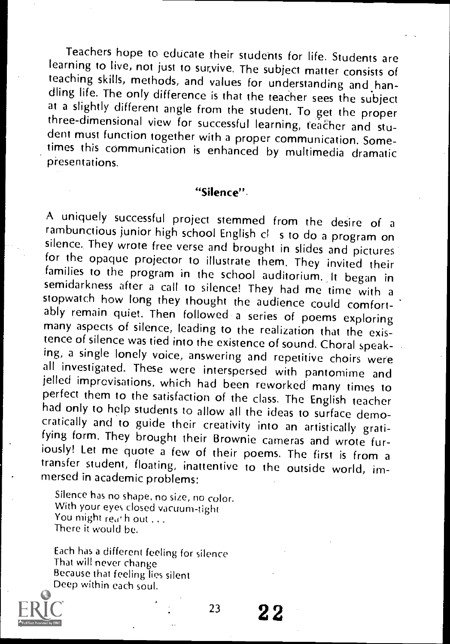Teachers hope to educate their students for life. Students are learning to live, not just to survive. The subject matter consists of<br>teaching skills, methods, and values for understanding and handling life. The only difference is that the teacher sees the subject<br>at a slightly different angle from the student. To get the proper<br>three-dimensional view for successful learning, teacher and student must function together with a proper communication. Sometimes this communication is enhanced by multimedia dramatic presentations.

#### "Silence".

A uniquely successful project stemmed from the desire of a rambunctious junior high school English cl s to do a program on silence. They wrote free verse and brought in slides and pictures<br>for the opaque projector to illustrate them. They invited their families to the program in the school auditorium. It began in<br>semidarkness after a call to silence! They had me time with a<br>stopwatch how long they thought the audience could comfort-<br>ably remain quiet. Then followed a ser many aspects of silence, leading to the realization that the existence of silence was tied into the existence of sound. Choral speaking, a single lonely voice, answering and repetitive choirs were all investigated. These were interspersed with pantomime and<br>jelled improvisations, which had been reworked many times to perfect them to the satisfaction of the class. The English teacher<br>had only to help students to allow all the ideas to surface democratically and to guide their creativity into an artistically gratifying form. They brought their Brownie cameras and wrote fur-<br>iously! Let me quote a few of their poems. The first is from a transfer student, floating, inattentive to the outside world, im-<br>mersed in academic problems:

Silence has no shape. no size, no color. With your eyes closed vacuum-tight You might reath out ... There it would be.

Each has a different feeling for silence That will never change Because that feeling lies silent Deep within each soul.



 $^{23}$  22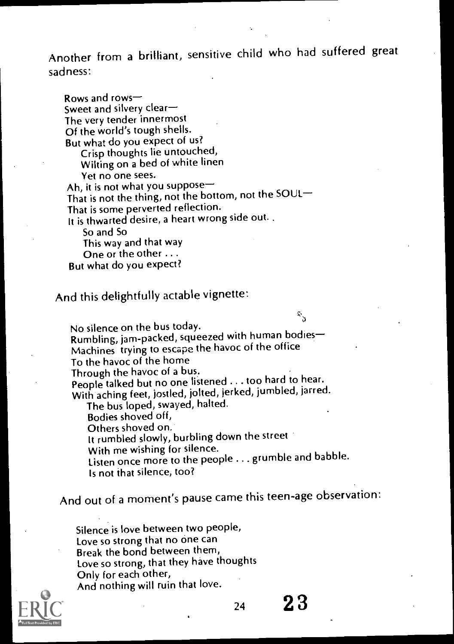Another from a brilliant, sensitive child who had suffered great sadness:

Rows and rows Sweet and silvery clear The very tender innermost Of the world's tough shells. But what do you expect of us? Crisp thoughts lie untouched, Wilting on a bed of white linen Yet no one sees. Ah, it is not what you suppose That is not the thing, not the bottom, not the SOUL That is some perverted reflection. It is thwarted desire, a heart wrong side out. So and So This way and that way One or the other ... But what do you expect?

And this delightfully actable vignette:

No silence on the bus today. Rumbling, jam-packed, squeezed with human bodies-Machines trying to escape the havoc of the office To the havoc of the home Through the havoc of a bus. People talked but no one listened . . . too hard to hear. With aching feet, jostled, jolted, jerked, jumbled, jarred. The bus loped, swayed, halted.

Bodies shoved off, Others shoved on. It rumbled slowly, burbling down the street With me wishing for silence. Listen once more to the people ... grumble and babble. Is not that silence, too?

And out of a moment's pause came this teen-age observation:

Silence is love between two people, Love so strong that no one can Break the bond between them, Love so strong, that they have thoughts Only for each other, And nothing will ruin that love.

 $24 \ 23$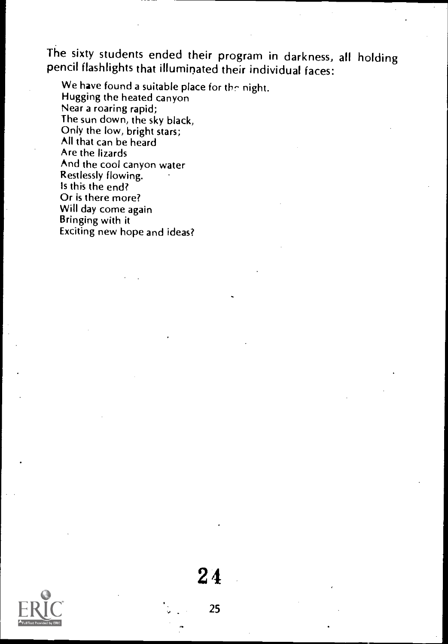The sixty students ended their program in darkness, all holding pencil flashlights that illuminated their individual faces:

We have found a suitable place for the night. Hugging the heated canyon Near a roaring rapid; The sun down, the sky black, Only the low, bright stars; All that can be heard Are the lizards And the cool canyon water Restlessly flowing. Is this the end? Or is there more? Will day come again Bringing with it Exciting new hope and ideas?



25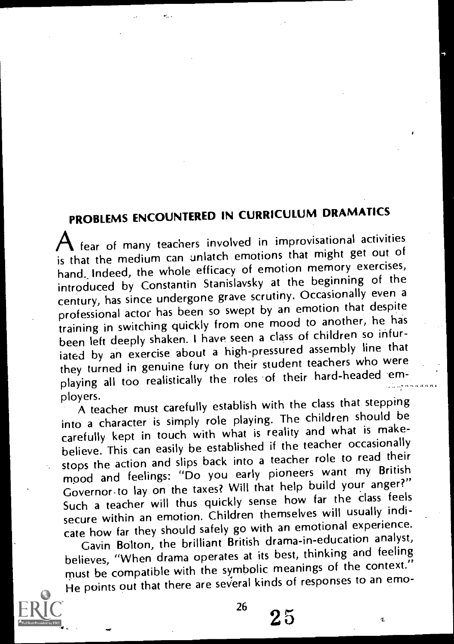## PROBLEMS ENCOUNTERED IN CURRICULUM DRAMATICS

Afear of many teachers involved in improvisational activities is that the medium can unlatch emotions that might get out of hand. Indeed, the whole efficacy of emotion memory exercises, introduced by Constantin Stanislaysky at the beginning of the century, has since undergone grave scrutiny. Occasionally even a professional actor has been so swept by an emotion that despite training in switching quickly from one mood to another, he has been left deeply shaken. I have seen a class of children so infuriated by an exercise about a high-pressured assembly line that they turned in genuine fury on their student teachers who were playing all too realistically the roles of their hard-headed em-

ployers. A teacher must carefully establish with the class that stepping into a character is simply role playing. The children should be carefully kept in touch with what is reality and what is makebelieve. This can easily be established if the teacher occasionally stops the action and slips back into a teacher role to read their mood and feelings: "Do you early pioneers want my British Governor-to lay on the taxes? Will that help build your anger?" Such a teacher will thus quickly sense how far the class feels secure within an emotion. Children themselves will usually indicate how far they should safely go with an emotional experience.

Gavin Bolton, the brilliant British drama-in-education analyst, believes, "When drama operates at its best, thinking and feeling must be compatible with the symbolic meanings of the context." He points out that there are several kinds of responses to an emo-

đ.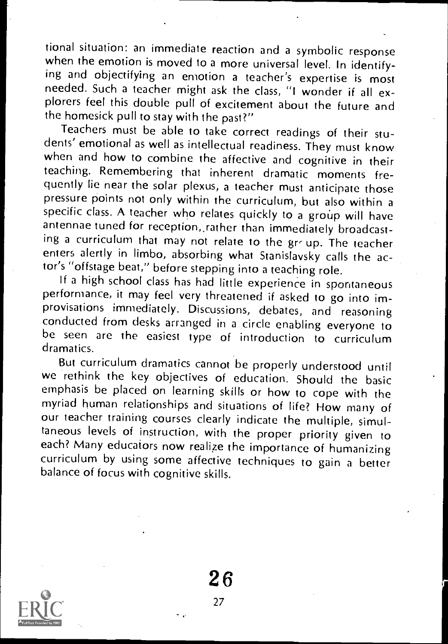tional situation: an immediate reaction and a symbolic response when the emotion is moved to a more universal level. In identifying and objectifying an emotion a teacher's expertise is most needed. Such a teacher might ask the class, "I wonder if all explorers feel this double pull of excitement about the future and the homesick pull to stay with the past?"

Teachers must be able to take correct readings of their stu-<br>dents' emotional as well as intellectual readiness. They must know when and how to combine the affective and cognitive in their teaching. Remembering that inherent dramatic moments frequently lie near the solar plexus, a teacher must anticipate those pressure points not only within the curriculum, but also within a specific class. A teacher who relates quickly to a group will have antennae tuned for reception,, rather than immediately broadcasting a curriculum that may not relate to the gr up. The teacher enters alertly in limbo, absorbing what Stanislaysky calls the actor's "offstage beat," before stepping into a teaching role.<br>If a high school class has had little experience in spontaneous

performance, it may feel very threatened if asked to go into improvisations immediately. Discussions, debates, and reasoning be seen are the easiest type of introduction to curriculum dramatics.

But curriculum dramatics cannot be properly understood until we rethink the key objectives of education. Should the basic emphasis be placed on learning skills or how to cope with the myriad human relationships and situations of life? How many of our teacher training courses clearly indicate the multiple, simultaneous levels of instruction, with the proper priority given to each? Many educators now realize the importance of humanizing curriculum by using some affective techniques to gain a better balance of focus with cognitive skills.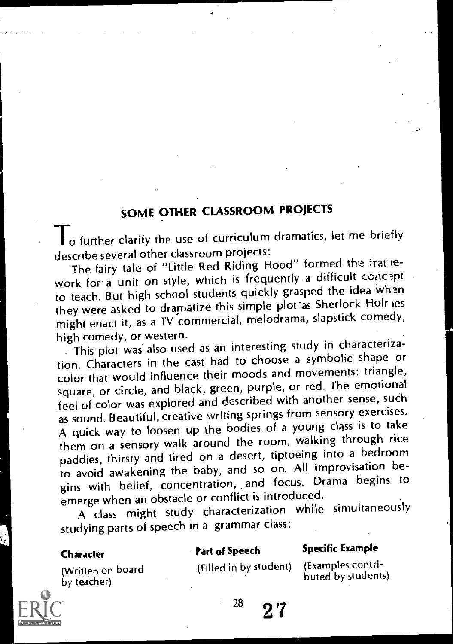## SOME OTHER CLASSROOM PROJECTS

I o further clarify the use of curriculum dramatics, let me briefly describe several other classroom projects:

The fairy tale of "Little Red Riding Hood" formed the framework for a unit on style, which is frequently a difficult concept to teach. But high school students quickly grasped the idea when they were asked to dramatize this simple plot as Sherlock Holr les might enact it, as a TV commercial, melodrama, slapstick comedy, high comedy, or western.

This plot was also used as an interesting study in characterization. Characters in the cast had to choose a symbolic shape or color that would influence their moods and movements: triangle, square, or circle, and black, green, purple, or red. The emotional feel of color was explored and described with another sense, such as sound. Beautiful, creative writing springs from sensory exercises. A quick way to loosen up the bodies of a young class is to take them on a sensory walk around the room, walking through rice paddies, thirsty and tired on a desert, tiptoeing into a bedroom to avoid awakening the baby, and so on. All improvisation begins with belief, concentration, and focus. Drama begins to emerge when an obstacle or conflict is introduced.

A class might study characterization while simultaneously studying parts of speech in a grammar class:

#### **Character**

### Part of Speech Specific Example

(Written on board by teacher)

(Filled in by student) (Examples contri-

 $^{28}$  2.7

buted by students)

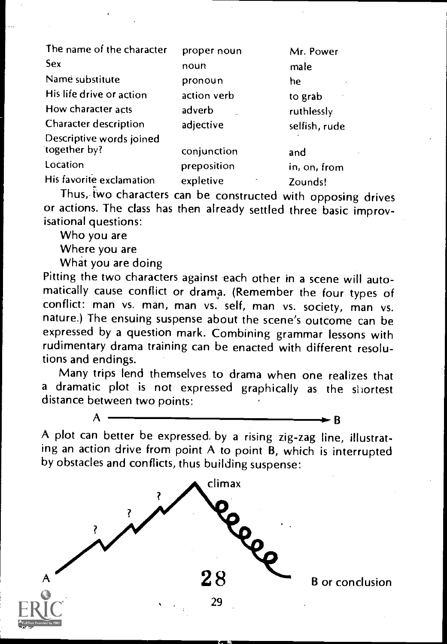| The name of the character | proper noun | Mr. Power     |
|---------------------------|-------------|---------------|
| Sex                       | noun        | male          |
| Name substitute           | pronoun     | he            |
| His life drive or action  | action verb | to grab       |
| How character acts        | adverb      | ruthlessly    |
| Character description     | adjective   | selfish, rude |
| Descriptive words joined  |             |               |
| together by?              | conjunction | and           |
| Location                  | preposition | in, on, from  |
| His favorite exclamation  | expletive   | Zounds!       |

Thus, two characters can be constructed with opposing drives or actions. The class has then already settled three basic improvisational questions:

Who you are

Where you are

What you are doing

Pitting the two characters against each other in a scene will auto-<br>matically cause conflict or drama. (Remember the four types of conflict: man vs. man, man vs. self, man vs. society, man vs. nature.) The ensuing suspense about the scene's outcome can be expressed by a question mark. Combining grammar lessons with rudimentary drama training can be enacted with different resolutions and endings.

Many trips lend themselves to drama when one realizes that a dramatic plot is not expressed graphically as the shortest distance between two points:

 $A \longrightarrow B$ A plot can better be expressed, by a rising zig-zag line, illustrating an action drive from point A to point B, which is interrupted

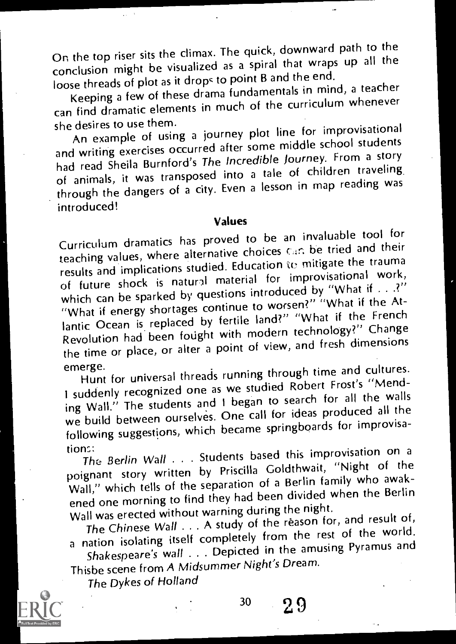On the top riser sits the climax. The quick, downward path to the conclusion might be visualized as a spiral that wraps up all the loose threads of plot as it drops to point B and the end.

Keeping a few of these drama fundamentals in mind, a teacher can find dramatic elements in much of the curriculum whenever<br>she desires to use them.

she desires to use them. An example of using a journey plot line for improvisational and writing exercises occurred after some middle school students had read Sheila Burnford's The Incredible Journey. From a story of animals, it was transposed into a tale of children traveling through the dangers of a city. Even a lesson in map reading was introduced!

#### Values

Curriculum dramatics has proved to be an invaluable tool for teaching values, where alternative choices can be tried and their results and implications studied. Education to mitigate the trauma of future shock is natural material for improvisational work, which can be sparked by questions introduced by "What if  $\ldots$ ?" "What if energy shortages continue to worsen?" "What if the Atlantic Ocean is replaced by fertile land?" "What if the French Revolution had been fought with modern technology?" Change the time or place, or alter a point of view, and fresh dimensions

emerge. Hunt for universal threads running through time and cultures. I suddenly recognized one as we studied Robert Frost's "Mending Wall." The students and I began to search for all the walls we build between ourselves. One call for ideas produced all the following suggestions, which became springboards for improvisa-

tions:<br>The Berlin Wall . . . Students based this improvisation on a poignant story written by Priscilla Goldthwait, "Night of the Wall," which tells of the separation of a Berlin family who awakened one morning to find they had been divided when the Berlin Wall was erected without warning during the night.

The Chinese Wall . . . A study of the reason for, and result of, a nation isolating itself completely from the rest of the world.

Shakespeare's wall . . . Depicted in the amusing Pyramus and Thisbe scene from A Midsummer Night's Dream.

The Dykes of Holland



30 2.9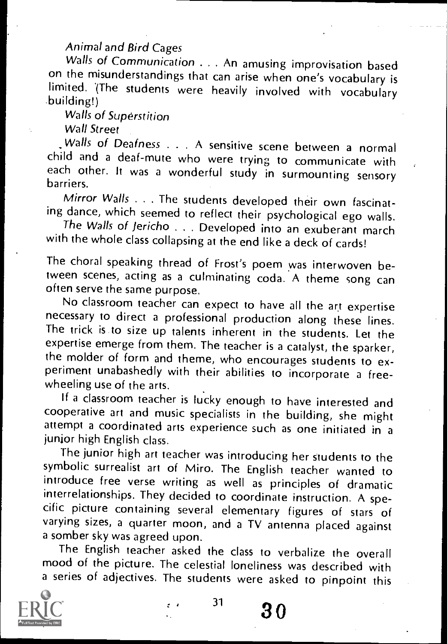## Animal and Bird Cages

Walls of Communication . . . An amusing improvisation based<br>on the misunderstandings that can arise when one's vocabulary is limited. (The students were heavily involved with vocabulary<br>building!)

Walls of Superstition

Wall Street

Walls of Deafness . . . A sensitive scene between a normal child and a deaf-mute who were trying to communicate with each other. It was a wonderful study in surmounting sensory

Mirror Walls . . . The students developed their own fascinating dance, which seemed to reflect their psychological ego walls.

The Walls of Jericho... Developed into an exuberant march with the whole class collapsing at the end like a deck of cards!

The choral speaking thread of Frost's poem was interwoven between scenes, acting as a culminating coda. A theme song can often serve the same purpose.<br>No classroom teacher can expect to have all the art expertise

necessary to direct a professional production along these lines. The trick is to size up talents inherent in the students. Let the expertise emerge from them. The teacher is a catalyst, the sparker, the molder of form and theme, who encourages students to ex-<br>periment unabashedly with their abilities to incorporate a freewheeling use of the arts.

If a classroom teacher is lucky enough to have interested and cooperative art and music specialists in the building, she might attempt a coordinated arts experience such as one initiated in a junior high English class.

The junior high art teacher was introducing her students to the symbolic surrealist art of Miro. The English teacher wanted to introduce free verse writing as well as principles of dramatic<br>interrelationships. They decided to coordinate instruction. A specific picture containing several elementary figures of stars of varying sizes, a quarter moon, and a TV antenna placed against a somber sky was agreed upon.

The English teacher asked the class to verbalize the overall mood of the picture. The celestial loneliness was described with a series of adjectives. The students were asked to pinpoint this



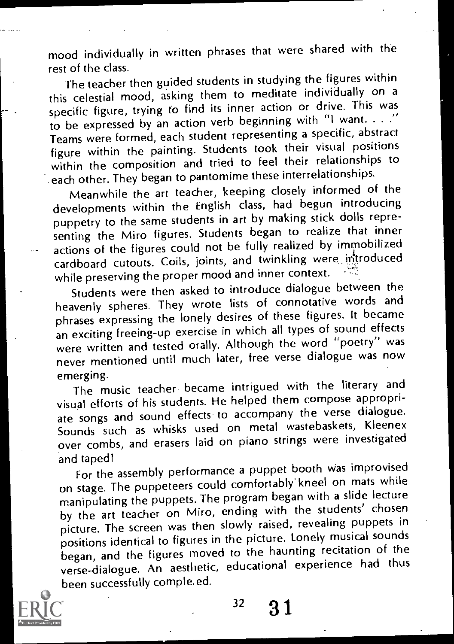mood individually in written phrases that were shared with the rest of the class.

The teacher then guided students in studying the figures within this celestial mood, asking them to meditate individually on a specific figure, trying to find its inner action or drive. This was to be expressed by an action verb beginning with "I want. . . ." Teams were formed, each student representing a specific, abstract figure within the painting. Students took their visual positions within the composition and tried to feel their relationships to each other. They began to pantomime these interrelationships.

Meanwhile the art teacher, keeping closely informed of the developments within the English class, had begun introducing puppetry to the same students in art by making stick dolls representing the Miro figures. Students began to realize that inner actions of the figures could not be fully realized by immobilized cardboard cutouts. Coils, joints, and twinkling were introduced while preserving the proper mood and inner context.

Students were then asked to introduce dialogue between the heavenly spheres. They wrote lists of connotative words and phrases expressing the lonely desires of these figures. It became an exciting freeing-up exercise in which all types of sound effects were written and tested orally. Although the word "poetry" was never mentioned until much later, free verse dialogue was now emerging.

The music teacher became intrigued with the literary and visual efforts of his students. He helped them compose appropriate songs and sound effects to accompany the verse dialogue. Sounds such as whisks used on metal wastebaskets, Kleenex over combs, and erasers laid on piano strings were investigated and taped!

For the assembly performance a puppet booth was improvised on stage. The puppeteers could comfortably' kneel on mats while manipulating the puppets. The program began with a slide lecture by the art teacher on Miro, ending with the students' chosen picture. The screen was then slowly raised, revealing puppets in positions identical to figures in the picture. Lonely musical sounds began, and the figures moved to the haunting recitation of the verse-dialogue. An aesthetic, educational experience had thus been successfully comple,ed.



 $32 \quad 31$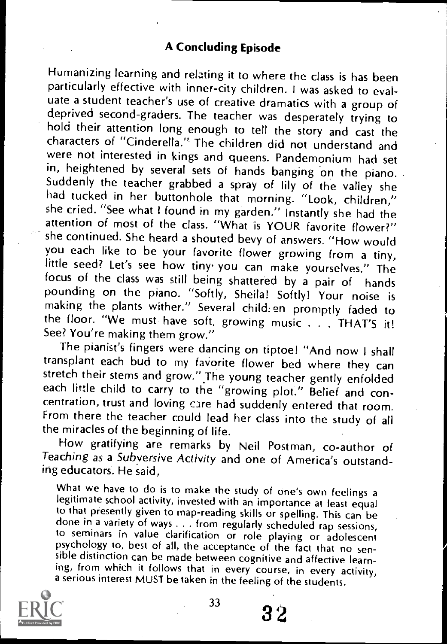### A Concluding Episode

Humanizing learning and relating it to where the class is has been particularly effective with inner-city children. I was asked to eval-<br>uate a student teacher's use of creative dramatics with a group of deprived second-graders. The teacher was desperately trying to hold their attention long enough to tell the story and cast the characters of "Cinderella." The children did not understand and were not interested in kings and queens. Pandemonium had set in, heightened by several sets of hands banging on the piano. Suddenly the teacher grabbed a spray of lily of the valley she had tucked in her buttonhole that morning. "Look, children," she cried. "See what I found in my garden." Instantly she had the attention of most of the class. "What is YOUR favorite flower?" she continued. She heard a shouted bevy of answers. "How would you each like to be your favorite flower growing from a tiny, little seed? Let's see how tiny you can make yourselves." The focus of the class was still being shattered by a pair of hands pounding on the piano. "Softly, Sheila! Softly! Your noise is making the plants wither." Several child: en promptly faded to the floor. "We must have soft, growing music . . . THAT'S it! See? You're making them grow."

The pianist's fingers were dancing on tiptoe! "And now I shall transplant each bud to my favorite flower bed where they can stretch their stems and grow." The young teacher gently enfolded each little child to carry to the "growing plot." Belief and concentration, trust and loving care had suddenly entered that room. From there the teacher could lead her class into the study of all the miracles of the beginning of life.

How gratifying are remarks by Neil Postman, co-author of Teaching as a Subversive Activity and one of America's outstanding educators. He said,

What we have to do is to make the study of one's own feelings a legitimate school activity, invested with an importance at least equal to that presently given to map-reading skills or spelling. This can be done in a variety of ways . . . from regularly scheduled rap sessions,<br>to seminars in value clarification or role playing or adolescent psychology to, best of all, the acceptance of the fact that no sen-<br>sible distinction can be made between cognitive and affective learning, from which it follows that in every course, in every activity,<br>a serious interest MUST be taken in the feeling of the students.



33

3'2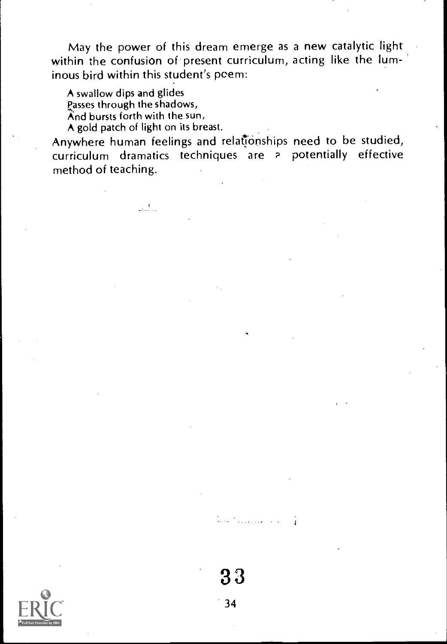May the power of this dream emerge as a new catalytic light within the confusion of present curriculum, acting like the luminous bird within this student's poem:

A swallow dips and glides Passes through the shadows, And bursts forth with the sun, A gold patch of light on its breast.

Anywhere human feelings and relationships need to be studied, curriculum dramatics techniques are a potentially effective method of teaching.